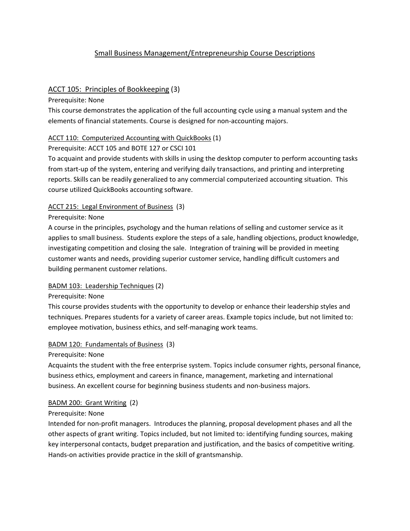# Small Business Management/Entrepreneurship Course Descriptions

# ACCT 105: Principles of Bookkeeping (3)

Prerequisite: None

This course demonstrates the application of the full accounting cycle using a manual system and the elements of financial statements. Course is designed for non‐accounting majors.

# ACCT 110: Computerized Accounting with QuickBooks (1)

# Prerequisite: ACCT 105 and BOTE 127 or CSCI 101

To acquaint and provide students with skills in using the desktop computer to perform accounting tasks from start‐up of the system, entering and verifying daily transactions, and printing and interpreting reports. Skills can be readily generalized to any commercial computerized accounting situation. This course utilized QuickBooks accounting software.

# ACCT 215: Legal Environment of Business (3)

# Prerequisite: None

A course in the principles, psychology and the human relations of selling and customer service as it applies to small business. Students explore the steps of a sale, handling objections, product knowledge, investigating competition and closing the sale. Integration of training will be provided in meeting customer wants and needs, providing superior customer service, handling difficult customers and building permanent customer relations.

# BADM 103: Leadership Techniques (2)

# Prerequisite: None

This course provides students with the opportunity to develop or enhance their leadership styles and techniques. Prepares students for a variety of career areas. Example topics include, but not limited to: employee motivation, business ethics, and self‐managing work teams.

# BADM 120: Fundamentals of Business (3)

# Prerequisite: None

Acquaints the student with the free enterprise system. Topics include consumer rights, personal finance, business ethics, employment and careers in finance, management, marketing and international business. An excellent course for beginning business students and non‐business majors.

# BADM 200: Grant Writing (2)

# Prerequisite: None

Intended for non‐profit managers. Introduces the planning, proposal development phases and all the other aspects of grant writing. Topics included, but not limited to: identifying funding sources, making key interpersonal contacts, budget preparation and justification, and the basics of competitive writing. Hands‐on activities provide practice in the skill of grantsmanship.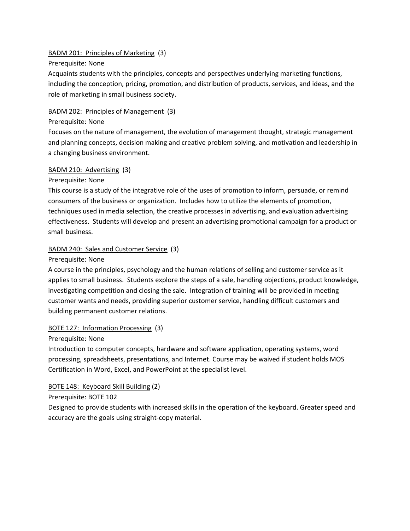# BADM 201: Principles of Marketing (3)

# Prerequisite: None

Acquaints students with the principles, concepts and perspectives underlying marketing functions, including the conception, pricing, promotion, and distribution of products, services, and ideas, and the role of marketing in small business society.

# BADM 202: Principles of Management (3)

#### Prerequisite: None

Focuses on the nature of management, the evolution of management thought, strategic management and planning concepts, decision making and creative problem solving, and motivation and leadership in a changing business environment.

#### BADM 210: Advertising (3)

# Prerequisite: None

This course is a study of the integrative role of the uses of promotion to inform, persuade, or remind consumers of the business or organization. Includes how to utilize the elements of promotion, techniques used in media selection, the creative processes in advertising, and evaluation advertising effectiveness. Students will develop and present an advertising promotional campaign for a product or small business.

# BADM 240: Sales and Customer Service (3)

#### Prerequisite: None

A course in the principles, psychology and the human relations of selling and customer service as it applies to small business. Students explore the steps of a sale, handling objections, product knowledge, investigating competition and closing the sale. Integration of training will be provided in meeting customer wants and needs, providing superior customer service, handling difficult customers and building permanent customer relations.

# BOTE 127: Information Processing (3)

#### Prerequisite: None

Introduction to computer concepts, hardware and software application, operating systems, word processing, spreadsheets, presentations, and Internet. Course may be waived if student holds MOS Certification in Word, Excel, and PowerPoint at the specialist level.

# BOTE 148: Keyboard Skill Building (2)

# Prerequisite: BOTE 102

Designed to provide students with increased skills in the operation of the keyboard. Greater speed and accuracy are the goals using straight‐copy material.